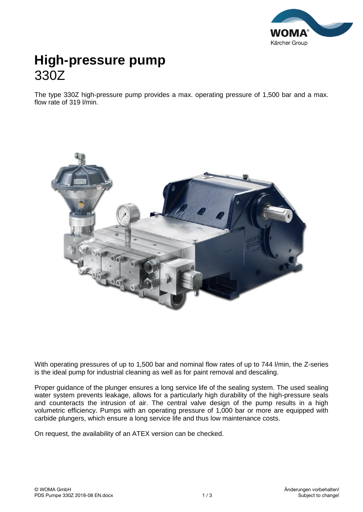

## **High-pressure pump** 330Z

The type 330Z high-pressure pump provides a max. operating pressure of 1,500 bar and a max. flow rate of 319 l/min.



With operating pressures of up to 1,500 bar and nominal flow rates of up to 744 l/min, the Z-series is the ideal pump for industrial cleaning as well as for paint removal and descaling.

Proper guidance of the plunger ensures a long service life of the sealing system. The used sealing water system prevents leakage, allows for a particularly high durability of the high-pressure seals and counteracts the intrusion of air. The central valve design of the pump results in a high volumetric efficiency. Pumps with an operating pressure of 1,000 bar or more are equipped with carbide plungers, which ensure a long service life and thus low maintenance costs.

On request, the availability of an ATEX version can be checked.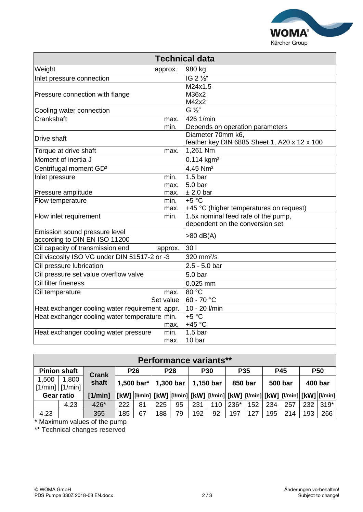

| <b>Technical data</b>                          |      |                                              |  |  |  |  |  |  |  |  |
|------------------------------------------------|------|----------------------------------------------|--|--|--|--|--|--|--|--|
| Weight<br>approx.                              |      | 980 kg                                       |  |  |  |  |  |  |  |  |
| Inlet pressure connection                      |      | IG 2 1/2"                                    |  |  |  |  |  |  |  |  |
|                                                |      | M24x1.5                                      |  |  |  |  |  |  |  |  |
| Pressure connection with flange                |      | M36x2                                        |  |  |  |  |  |  |  |  |
|                                                |      | M42x2                                        |  |  |  |  |  |  |  |  |
| Cooling water connection                       |      | $G\frac{1}{2}$                               |  |  |  |  |  |  |  |  |
| Crankshaft                                     | max. | 426 1/min                                    |  |  |  |  |  |  |  |  |
|                                                | min. | Depends on operation parameters              |  |  |  |  |  |  |  |  |
| Drive shaft                                    |      | Diameter 70mm k6,                            |  |  |  |  |  |  |  |  |
|                                                |      | feather key DIN 6885 Sheet 1, A20 x 12 x 100 |  |  |  |  |  |  |  |  |
| Torque at drive shaft                          | max. | 1,261 Nm                                     |  |  |  |  |  |  |  |  |
| Moment of inertia J                            |      | 0.114 kgm <sup>2</sup>                       |  |  |  |  |  |  |  |  |
| Centrifugal moment GD <sup>2</sup>             |      | 4.45 Nm <sup>2</sup>                         |  |  |  |  |  |  |  |  |
| Inlet pressure<br>min.                         |      | 1.5 <sub>bar</sub>                           |  |  |  |  |  |  |  |  |
|                                                | max. | 5.0 bar                                      |  |  |  |  |  |  |  |  |
| Pressure amplitude                             | max. | ± 2.0 bar                                    |  |  |  |  |  |  |  |  |
| Flow temperature                               | min. | $+5 °C$                                      |  |  |  |  |  |  |  |  |
|                                                | max. | +45 °C (higher temperatures on request)      |  |  |  |  |  |  |  |  |
| Flow inlet requirement<br>min.                 |      | 1.5x nominal feed rate of the pump,          |  |  |  |  |  |  |  |  |
|                                                |      | dependent on the conversion set              |  |  |  |  |  |  |  |  |
| Emission sound pressure level                  |      | $>80$ dB(A)                                  |  |  |  |  |  |  |  |  |
| according to DIN EN ISO 11200                  |      |                                              |  |  |  |  |  |  |  |  |
| Oil capacity of transmission end<br>approx.    |      | 30 <sub>1</sub>                              |  |  |  |  |  |  |  |  |
| Oil viscosity ISO VG under DIN 51517-2 or -3   |      | 320 mm <sup>2</sup> /s                       |  |  |  |  |  |  |  |  |
| Oil pressure lubrication                       |      | $2.5 - 5.0$ bar                              |  |  |  |  |  |  |  |  |
| Oil pressure set value overflow valve          |      | 5.0 bar                                      |  |  |  |  |  |  |  |  |
| Oil filter fineness                            |      | $0.025$ mm                                   |  |  |  |  |  |  |  |  |
| Oil temperature                                | max. | 80 °C                                        |  |  |  |  |  |  |  |  |
| Set value                                      |      | 60 - 70 °C                                   |  |  |  |  |  |  |  |  |
| Heat exchanger cooling water requirement appr. |      | 10 - 20 l/min                                |  |  |  |  |  |  |  |  |
| Heat exchanger cooling water temperature min.  |      | $+5 °C$                                      |  |  |  |  |  |  |  |  |
|                                                | max. | $+45 °C$                                     |  |  |  |  |  |  |  |  |
| Heat exchanger cooling water pressure<br>min.  |      | 1.5 <sub>bar</sub>                           |  |  |  |  |  |  |  |  |
|                                                | max. | 10 bar                                       |  |  |  |  |  |  |  |  |

| Performance variants**       |                     |         |                                              |                                                                                          |                         |    |                         |     |                            |     |                              |     |                       |        |
|------------------------------|---------------------|---------|----------------------------------------------|------------------------------------------------------------------------------------------|-------------------------|----|-------------------------|-----|----------------------------|-----|------------------------------|-----|-----------------------|--------|
|                              | <b>Pinion shaft</b> |         | <b>P26</b><br><b>Crank</b><br>1,500 bar* $ $ |                                                                                          | <b>P28</b><br>1,300 bar |    | <b>P30</b><br>1,150 bar |     | P <sub>35</sub><br>850 bar |     | <b>P45</b><br><b>500 bar</b> |     | <b>P50</b><br>400 bar |        |
| 1,500<br>$[1/min]$ $[1/min]$ | 1,800               | shaft   |                                              |                                                                                          |                         |    |                         |     |                            |     |                              |     |                       |        |
| <b>Gear ratio</b>            |                     | [1/min] |                                              | [kW]  [l/min]  [kW]  [l/min]  [kW]  [l/min]  [kW]  [l/min]  [kW]  [l/min]  [kW]  [l/min] |                         |    |                         |     |                            |     |                              |     |                       |        |
|                              | 4.23                | 426*    | 222                                          | 81                                                                                       | 225                     | 95 | 231                     | 110 | 236*                       | 152 | 234                          | 257 | 232                   | $319*$ |
| 4.23                         |                     | 355     | 185                                          | 67                                                                                       | 188                     | 79 | 192                     | 92  | 197                        | 127 | 195                          | 214 | 193                   | 266    |

\* Maximum values of the pump

\*\* Technical changes reserved